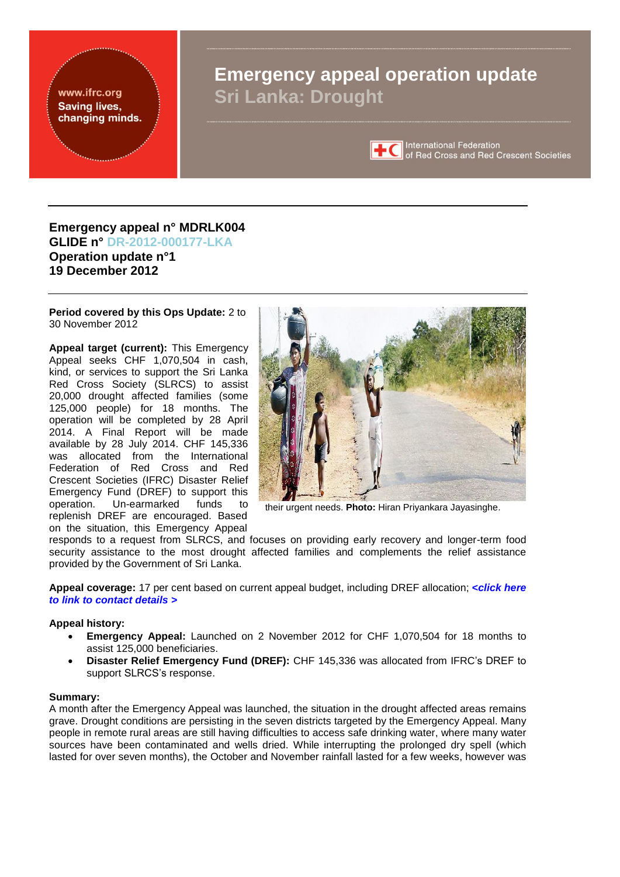<span id="page-0-0"></span>www.ifrc.org **Saving lives,** changing minds.

# **Emergency appeal operation update Sri Lanka: Drought**



**TC** International Federation<br>
of Red Cross and Red Crescent Societies

### **Emergency appeal n° MDRLK004 GLIDE n° [DR-2012-000177-LKA](http://www.glidenumber.net/glide/public/search/details.jsp?glide=19904&record=1&last=1) Operation update n°1 19 December 2012**

**Period covered by this Ops Update:** 2 to 30 November 2012

**Appeal target (current):** This Emergency Appeal seeks CHF 1,070,504 in cash, kind, or services to support the Sri Lanka Red Cross Society (SLRCS) to assist 20,000 drought affected families (some 125,000 people) for 18 months. The operation will be completed by 28 April 2014. A Final Report will be made available by 28 July 2014. CHF 145,336 was allocated from the International Federation of Red Cross and Red Crescent Societies (IFRC) Disaster Relief Emergency Fund (DREF) to support this operation. Un-earmarked funds to replenish DREF are encouraged. Based on the situation, this Emergency Appeal



their urgent needs. **Photo:** Hiran Priyankara Jayasinghe.

responds to a request from SLRCS, and focuses on providing early recovery and longer-term food security assistance to the most drought affected families and complements the relief assistance provided by the Government of Sri Lanka.

**Appeal coverage:** 17 per cent based on current appeal budget, including DREF allocation; **<***[click here](#page-7-0)  [to link to contact details >](#page-7-0)*

#### **Appeal history:**

- **Emergency Appeal:** Launched on 2 November 2012 for CHF 1,070,504 for 18 months to assist 125,000 beneficiaries.
- **Disaster Relief Emergency Fund (DREF):** CHF 145,336 was allocated from IFRC's DREF to support SLRCS's response.

#### **Summary:**

A month after the Emergency Appeal was launched, the situation in the drought affected areas remains grave. Drought conditions are persisting in the seven districts targeted by the Emergency Appeal. Many people in remote rural areas are still having difficulties to access safe drinking water, where many water sources have been contaminated and wells dried. While interrupting the prolonged dry spell (which lasted for over seven months), the October and November rainfall lasted for a few weeks, however was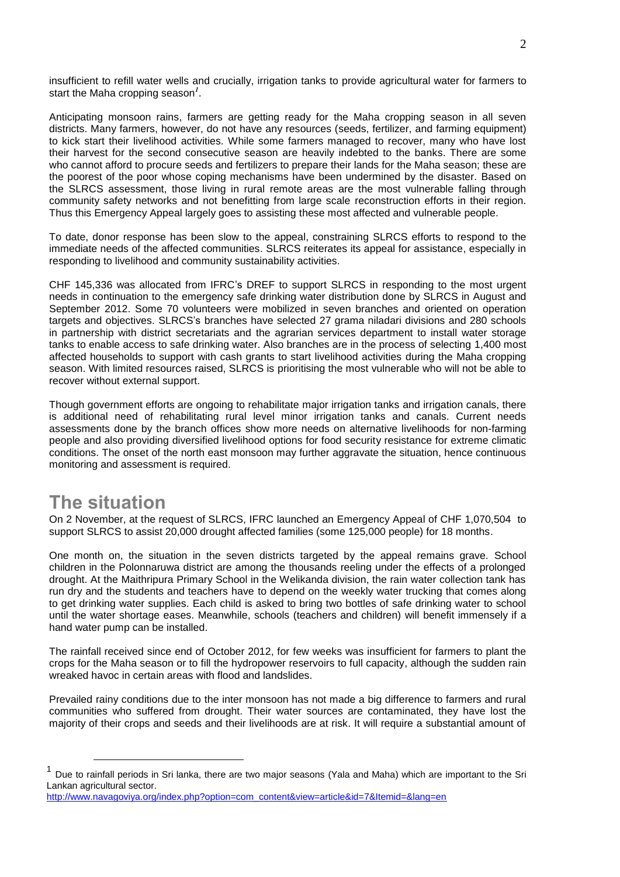insufficient to refill water wells and crucially, irrigation tanks to provide agricultural water for farmers to start the Maha cropping season*<sup>1</sup>* .

Anticipating monsoon rains, farmers are getting ready for the Maha cropping season in all seven districts. Many farmers, however, do not have any resources (seeds, fertilizer, and farming equipment) to kick start their livelihood activities. While some farmers managed to recover, many who have lost their harvest for the second consecutive season are heavily indebted to the banks. There are some who cannot afford to procure seeds and fertilizers to prepare their lands for the Maha season; these are the poorest of the poor whose coping mechanisms have been undermined by the disaster. Based on the SLRCS assessment, those living in rural remote areas are the most vulnerable falling through community safety networks and not benefitting from large scale reconstruction efforts in their region. Thus this Emergency Appeal largely goes to assisting these most affected and vulnerable people.

To date, donor response has been slow to the appeal, constraining SLRCS efforts to respond to the immediate needs of the affected communities. SLRCS reiterates its appeal for assistance, especially in responding to livelihood and community sustainability activities.

CHF 145,336 was allocated from IFRC's DREF to support SLRCS in responding to the most urgent needs in continuation to the emergency safe drinking water distribution done by SLRCS in August and September 2012. Some 70 volunteers were mobilized in seven branches and oriented on operation targets and objectives. SLRCS's branches have selected 27 grama niladari divisions and 280 schools in partnership with district secretariats and the agrarian services department to install water storage tanks to enable access to safe drinking water. Also branches are in the process of selecting 1,400 most affected households to support with cash grants to start livelihood activities during the Maha cropping season. With limited resources raised, SLRCS is prioritising the most vulnerable who will not be able to recover without external support.

Though government efforts are ongoing to rehabilitate major irrigation tanks and irrigation canals, there is additional need of rehabilitating rural level minor irrigation tanks and canals. Current needs assessments done by the branch offices show more needs on alternative livelihoods for non-farming people and also providing diversified livelihood options for food security resistance for extreme climatic conditions. The onset of the north east monsoon may further aggravate the situation, hence continuous monitoring and assessment is required.

# **The situation**

On 2 November, at the request of SLRCS, IFRC launched an Emergency Appeal of CHF 1,070,504 to support SLRCS to assist 20,000 drought affected families (some 125,000 people) for 18 months.

One month on, the situation in the seven districts targeted by the appeal remains grave. School children in the Polonnaruwa district are among the thousands reeling under the effects of a prolonged drought. At the Maithripura Primary School in the Welikanda division, the rain water collection tank has run dry and the students and teachers have to depend on the weekly water trucking that comes along to get drinking water supplies. Each child is asked to bring two bottles of safe drinking water to school until the water shortage eases. Meanwhile, schools (teachers and children) will benefit immensely if a hand water pump can be installed.

The rainfall received since end of October 2012, for few weeks was insufficient for farmers to plant the crops for the Maha season or to fill the hydropower reservoirs to full capacity, although the sudden rain wreaked havoc in certain areas with flood and landslides.

Prevailed rainy conditions due to the inter monsoon has not made a big difference to farmers and rural communities who suffered from drought. Their water sources are contaminated, they have lost the majority of their crops and seeds and their livelihoods are at risk. It will require a substantial amount of

<sup>&</sup>lt;u>net the mand of the mand of the menum of the menum of the seasons (Aala and Maha)</u> which are important to the Sri<br><sup>1</sup> Due to rainfall periods in Sri lanka, there are two major seasons (Yala and Maha) which are important t Lankan agricultural sector.

[http://www.navagoviya.org/index.php?option=com\\_content&view=article&id=7&Itemid=&lang=en](http://www.navagoviya.org/index.php?option=com_content&view=article&id=7&Itemid=&lang=en)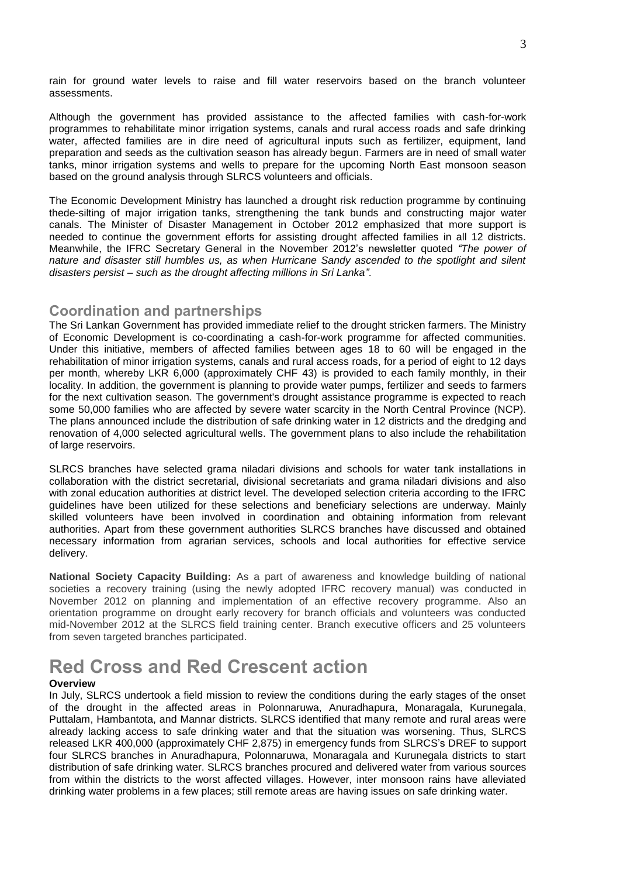rain for ground water levels to raise and fill water reservoirs based on the branch volunteer assessments.

Although the government has provided assistance to the affected families with cash-for-work programmes to rehabilitate minor irrigation systems, canals and rural access roads and safe drinking water, affected families are in dire need of agricultural inputs such as fertilizer, equipment, land preparation and seeds as the cultivation season has already begun. Farmers are in need of small water tanks, minor irrigation systems and wells to prepare for the upcoming North East monsoon season based on the ground analysis through SLRCS volunteers and officials.

The Economic Development Ministry has launched a drought risk reduction programme by continuing thede-silting of major irrigation tanks, strengthening the tank bunds and constructing major water canals. The Minister of Disaster Management in October 2012 emphasized that more support is needed to continue the government efforts for assisting drought affected families in all 12 districts. Meanwhile, the IFRC Secretary General in the November 2012's newsletter quoted *"The power of nature and disaster still humbles us, as when Hurricane Sandy ascended to the spotlight and silent disasters persist – such as the drought affecting millions in Sri Lanka"*.

### **Coordination and partnerships**

The Sri Lankan Government has provided immediate relief to the drought stricken farmers. The Ministry of Economic Development is co-coordinating a cash-for-work programme for affected communities. Under this initiative, members of affected families between ages 18 to 60 will be engaged in the rehabilitation of minor irrigation systems, canals and rural access roads, for a period of eight to 12 days per month, whereby LKR 6,000 (approximately CHF 43) is provided to each family monthly, in their locality. In addition, the government is planning to provide water pumps, fertilizer and seeds to farmers for the next cultivation season. The government's drought assistance programme is expected to reach some 50,000 families who are affected by severe water scarcity in the North Central Province (NCP). The plans announced include the distribution of safe drinking water in 12 districts and the dredging and renovation of 4,000 selected agricultural wells. The government plans to also include the rehabilitation of large reservoirs.

SLRCS branches have selected grama niladari divisions and schools for water tank installations in collaboration with the district secretarial, divisional secretariats and grama niladari divisions and also with zonal education authorities at district level. The developed selection criteria according to the IFRC guidelines have been utilized for these selections and beneficiary selections are underway. Mainly skilled volunteers have been involved in coordination and obtaining information from relevant authorities. Apart from these government authorities SLRCS branches have discussed and obtained necessary information from agrarian services, schools and local authorities for effective service delivery.

**National Society Capacity Building:** As a part of awareness and knowledge building of national societies a recovery training (using the newly adopted IFRC recovery manual) was conducted in November 2012 on planning and implementation of an effective recovery programme. Also an orientation programme on drought early recovery for branch officials and volunteers was conducted mid-November 2012 at the SLRCS field training center. Branch executive officers and 25 volunteers from seven targeted branches participated.

## **Red Cross and Red Crescent action**

#### **Overview**

In July, SLRCS undertook a field mission to review the conditions during the early stages of the onset of the drought in the affected areas in Polonnaruwa, Anuradhapura, Monaragala, Kurunegala, Puttalam, Hambantota, and Mannar districts. SLRCS identified that many remote and rural areas were already lacking access to safe drinking water and that the situation was worsening. Thus, SLRCS released LKR 400,000 (approximately CHF 2,875) in emergency funds from SLRCS's DREF to support four SLRCS branches in Anuradhapura, Polonnaruwa, Monaragala and Kurunegala districts to start distribution of safe drinking water. SLRCS branches procured and delivered water from various sources from within the districts to the worst affected villages. However, inter monsoon rains have alleviated drinking water problems in a few places; still remote areas are having issues on safe drinking water.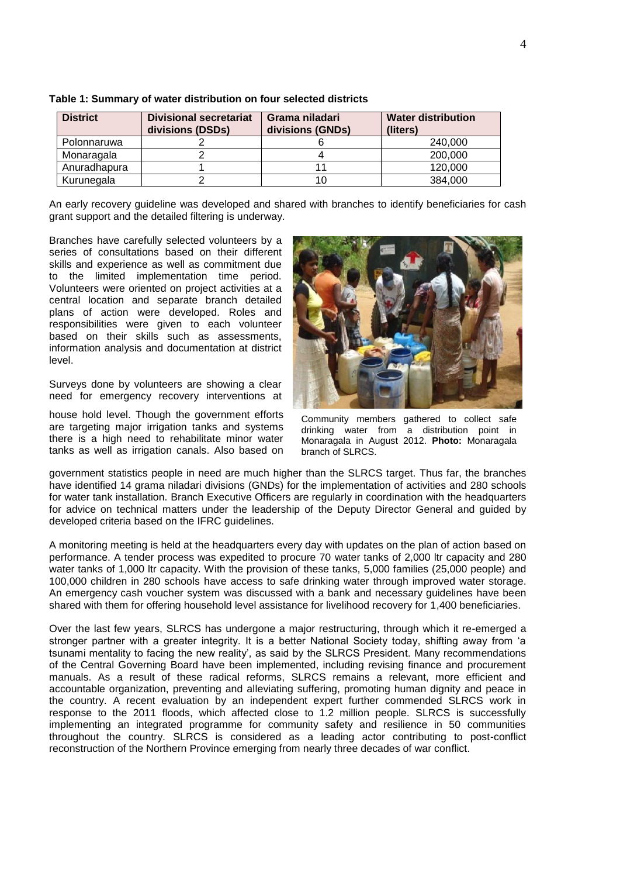| <b>District</b> | <b>Divisional secretariat</b><br>divisions (DSDs) | Grama niladari<br>divisions (GNDs) | <b>Water distribution</b><br>(liters) |
|-----------------|---------------------------------------------------|------------------------------------|---------------------------------------|
| Polonnaruwa     |                                                   |                                    | 240,000                               |
| Monaragala      |                                                   |                                    | 200,000                               |
| Anuradhapura    |                                                   | 11                                 | 120,000                               |
| Kurunegala      |                                                   | 10                                 | 384.000                               |

**Table 1: Summary of water distribution on four selected districts**

An early recovery guideline was developed and shared with branches to identify beneficiaries for cash grant support and the detailed filtering is underway.

Branches have carefully selected volunteers by a series of consultations based on their different skills and experience as well as commitment due to the limited implementation time period. Volunteers were oriented on project activities at a central location and separate branch detailed plans of action were developed. Roles and responsibilities were given to each volunteer based on their skills such as assessments, information analysis and documentation at district level.

Surveys done by volunteers are showing a clear need for emergency recovery interventions at

house hold level. Though the government efforts are targeting major irrigation tanks and systems there is a high need to rehabilitate minor water tanks as well as irrigation canals. Also based on



Community members gathered to collect safe drinking water from a distribution point in Monaragala in August 2012. **Photo:** Monaragala branch of SLRCS.

government statistics people in need are much higher than the SLRCS target. Thus far, the branches have identified 14 grama niladari divisions (GNDs) for the implementation of activities and 280 schools for water tank installation. Branch Executive Officers are regularly in coordination with the headquarters for advice on technical matters under the leadership of the Deputy Director General and guided by developed criteria based on the IFRC guidelines.

A monitoring meeting is held at the headquarters every day with updates on the plan of action based on performance. A tender process was expedited to procure 70 water tanks of 2,000 ltr capacity and 280 water tanks of 1,000 ltr capacity. With the provision of these tanks, 5,000 families (25,000 people) and 100,000 children in 280 schools have access to safe drinking water through improved water storage. An emergency cash voucher system was discussed with a bank and necessary guidelines have been shared with them for offering household level assistance for livelihood recovery for 1,400 beneficiaries.

Over the last few years, SLRCS has undergone a major restructuring, through which it re-emerged a stronger partner with a greater integrity. It is a better National Society today, shifting away from 'a tsunami mentality to facing the new reality', as said by the SLRCS President. Many recommendations of the Central Governing Board have been implemented, including revising finance and procurement manuals. As a result of these radical reforms, SLRCS remains a relevant, more efficient and accountable organization, preventing and alleviating suffering, promoting human dignity and peace in the country. A recent evaluation by an independent expert further commended SLRCS work in response to the 2011 floods, which affected close to 1.2 million people. SLRCS is successfully implementing an integrated programme for community safety and resilience in 50 communities throughout the country. SLRCS is considered as a leading actor contributing to post-conflict reconstruction of the Northern Province emerging from nearly three decades of war conflict.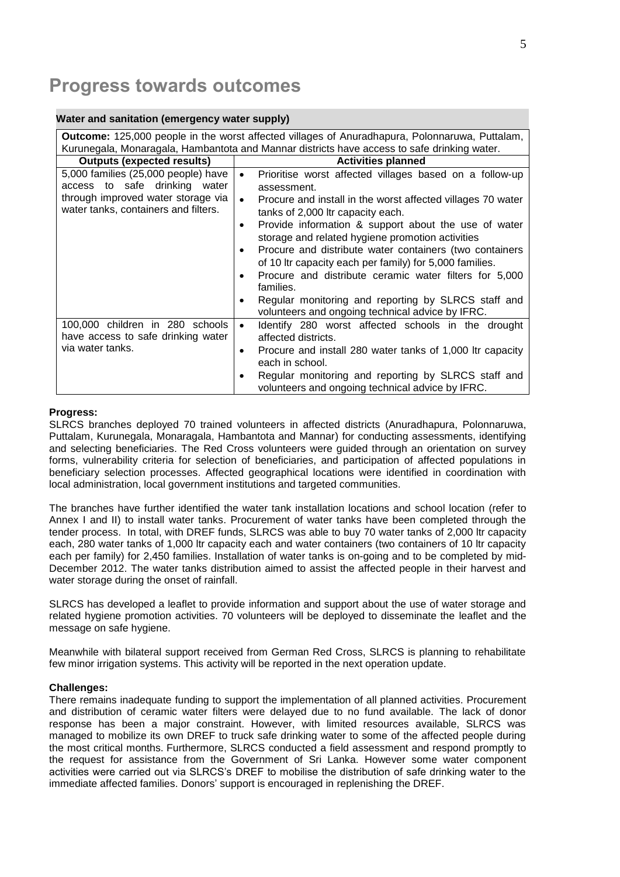# **Progress towards outcomes**

#### **Water and sanitation (emergency water supply)**

|                                                                                                                                                    | <b>Outcome:</b> 125,000 people in the worst affected villages of Anuradhapura, Polonnaruwa, Puttalam,                                                                                                                                                                                                                                                                                                                                                                                                                                                                                                                                                                        |
|----------------------------------------------------------------------------------------------------------------------------------------------------|------------------------------------------------------------------------------------------------------------------------------------------------------------------------------------------------------------------------------------------------------------------------------------------------------------------------------------------------------------------------------------------------------------------------------------------------------------------------------------------------------------------------------------------------------------------------------------------------------------------------------------------------------------------------------|
|                                                                                                                                                    | Kurunegala, Monaragala, Hambantota and Mannar districts have access to safe drinking water.                                                                                                                                                                                                                                                                                                                                                                                                                                                                                                                                                                                  |
| <b>Outputs (expected results)</b>                                                                                                                  | <b>Activities planned</b>                                                                                                                                                                                                                                                                                                                                                                                                                                                                                                                                                                                                                                                    |
| 5,000 families (25,000 people) have<br>access to safe drinking water<br>through improved water storage via<br>water tanks, containers and filters. | Prioritise worst affected villages based on a follow-up<br>$\bullet$<br>assessment.<br>Procure and install in the worst affected villages 70 water<br>$\bullet$<br>tanks of 2,000 ltr capacity each.<br>Provide information & support about the use of water<br>$\bullet$<br>storage and related hygiene promotion activities<br>Procure and distribute water containers (two containers<br>$\bullet$<br>of 10 Itr capacity each per family) for 5,000 families.<br>Procure and distribute ceramic water filters for 5,000<br>$\bullet$<br>families.<br>Regular monitoring and reporting by SLRCS staff and<br>$\bullet$<br>volunteers and ongoing technical advice by IFRC. |
| 100,000 children in 280 schools<br>have access to safe drinking water<br>via water tanks.                                                          | Identify 280 worst affected schools in the drought<br>$\bullet$<br>affected districts.<br>Procure and install 280 water tanks of 1,000 ltr capacity<br>$\bullet$<br>each in school.<br>Regular monitoring and reporting by SLRCS staff and<br>٠<br>volunteers and ongoing technical advice by IFRC.                                                                                                                                                                                                                                                                                                                                                                          |

#### **Progress:**

SLRCS branches deployed 70 trained volunteers in affected districts (Anuradhapura, Polonnaruwa, Puttalam, Kurunegala, Monaragala, Hambantota and Mannar) for conducting assessments, identifying and selecting beneficiaries. The Red Cross volunteers were guided through an orientation on survey forms, vulnerability criteria for selection of beneficiaries, and participation of affected populations in beneficiary selection processes. Affected geographical locations were identified in coordination with local administration, local government institutions and targeted communities.

The branches have further identified the water tank installation locations and school location (refer to [Annex I and](#page-8-0) II) to install water tanks. Procurement of water tanks have been completed through the tender process. In total, with DREF funds, SLRCS was able to buy 70 water tanks of 2,000 ltr capacity each, 280 water tanks of 1,000 ltr capacity each and water containers (two containers of 10 ltr capacity each per family) for 2,450 families. Installation of water tanks is on-going and to be completed by mid-December 2012. The water tanks distribution aimed to assist the affected people in their harvest and water storage during the onset of rainfall.

SLRCS has developed a leaflet to provide information and support about the use of water storage and related hygiene promotion activities. 70 volunteers will be deployed to disseminate the leaflet and the message on safe hygiene.

Meanwhile with bilateral support received from German Red Cross, SLRCS is planning to rehabilitate few minor irrigation systems. This activity will be reported in the next operation update.

#### **Challenges:**

There remains inadequate funding to support the implementation of all planned activities. Procurement and distribution of ceramic water filters were delayed due to no fund available. The lack of donor response has been a major constraint. However, with limited resources available, SLRCS was managed to mobilize its own DREF to truck safe drinking water to some of the affected people during the most critical months. Furthermore, SLRCS conducted a field assessment and respond promptly to the request for assistance from the Government of Sri Lanka. However some water component activities were carried out via SLRCS's DREF to mobilise the distribution of safe drinking water to the immediate affected families. Donors' support is encouraged in replenishing the DREF.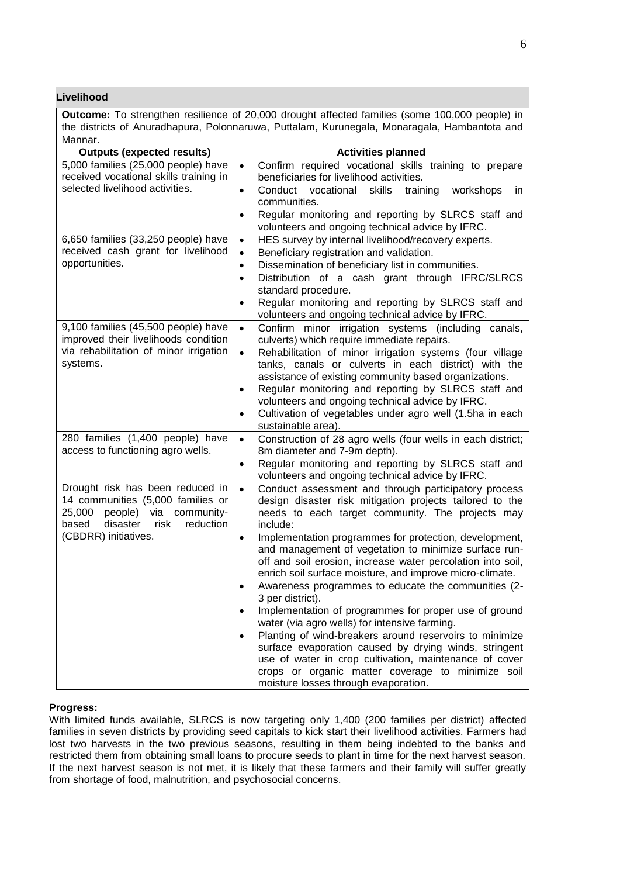**Livelihood**

| <b>Outcome:</b> To strengthen resilience of 20,000 drought affected families (some 100,000 people) in                                                                    |                                                                                                                                                                                                                                                                                                                                                                                                                                                                                                                                                                                                                                                                                                                                                                                                                                                                                                                                                    |  |  |  |
|--------------------------------------------------------------------------------------------------------------------------------------------------------------------------|----------------------------------------------------------------------------------------------------------------------------------------------------------------------------------------------------------------------------------------------------------------------------------------------------------------------------------------------------------------------------------------------------------------------------------------------------------------------------------------------------------------------------------------------------------------------------------------------------------------------------------------------------------------------------------------------------------------------------------------------------------------------------------------------------------------------------------------------------------------------------------------------------------------------------------------------------|--|--|--|
| the districts of Anuradhapura, Polonnaruwa, Puttalam, Kurunegala, Monaragala, Hambantota and                                                                             |                                                                                                                                                                                                                                                                                                                                                                                                                                                                                                                                                                                                                                                                                                                                                                                                                                                                                                                                                    |  |  |  |
| Mannar.                                                                                                                                                                  |                                                                                                                                                                                                                                                                                                                                                                                                                                                                                                                                                                                                                                                                                                                                                                                                                                                                                                                                                    |  |  |  |
| <b>Outputs (expected results)</b>                                                                                                                                        | <b>Activities planned</b>                                                                                                                                                                                                                                                                                                                                                                                                                                                                                                                                                                                                                                                                                                                                                                                                                                                                                                                          |  |  |  |
| 5,000 families (25,000 people) have<br>received vocational skills training in<br>selected livelihood activities.                                                         | Confirm required vocational skills training to prepare<br>$\bullet$<br>beneficiaries for livelihood activities.<br>Conduct vocational<br>skills<br>training<br>workshops<br>in<br>$\bullet$<br>communities.<br>Regular monitoring and reporting by SLRCS staff and<br>$\bullet$<br>volunteers and ongoing technical advice by IFRC.                                                                                                                                                                                                                                                                                                                                                                                                                                                                                                                                                                                                                |  |  |  |
| 6,650 families (33,250 people) have<br>received cash grant for livelihood<br>opportunities.                                                                              | HES survey by internal livelihood/recovery experts.<br>$\bullet$<br>Beneficiary registration and validation.<br>$\bullet$<br>Dissemination of beneficiary list in communities.<br>$\bullet$<br>Distribution of a cash grant through IFRC/SLRCS<br>$\bullet$<br>standard procedure.<br>Regular monitoring and reporting by SLRCS staff and<br>$\bullet$<br>volunteers and ongoing technical advice by IFRC.                                                                                                                                                                                                                                                                                                                                                                                                                                                                                                                                         |  |  |  |
| 9,100 families (45,500 people) have<br>improved their livelihoods condition<br>via rehabilitation of minor irrigation<br>systems.                                        | Confirm minor irrigation systems (including canals,<br>$\bullet$<br>culverts) which require immediate repairs.<br>Rehabilitation of minor irrigation systems (four village<br>$\bullet$<br>tanks, canals or culverts in each district) with the<br>assistance of existing community based organizations.<br>Regular monitoring and reporting by SLRCS staff and<br>$\bullet$<br>volunteers and ongoing technical advice by IFRC.<br>Cultivation of vegetables under agro well (1.5ha in each<br>$\bullet$<br>sustainable area).                                                                                                                                                                                                                                                                                                                                                                                                                    |  |  |  |
| 280 families (1,400 people) have<br>access to functioning agro wells.                                                                                                    | Construction of 28 agro wells (four wells in each district;<br>$\bullet$<br>8m diameter and 7-9m depth).<br>Regular monitoring and reporting by SLRCS staff and<br>$\bullet$<br>volunteers and ongoing technical advice by IFRC.                                                                                                                                                                                                                                                                                                                                                                                                                                                                                                                                                                                                                                                                                                                   |  |  |  |
| Drought risk has been reduced in<br>14 communities (5,000 families or<br>25,000 people) via community-<br>based<br>disaster<br>risk<br>reduction<br>(CBDRR) initiatives. | Conduct assessment and through participatory process<br>$\bullet$<br>design disaster risk mitigation projects tailored to the<br>needs to each target community. The projects may<br>include:<br>Implementation programmes for protection, development,<br>$\bullet$<br>and management of vegetation to minimize surface run-<br>off and soil erosion, increase water percolation into soil,<br>enrich soil surface moisture, and improve micro-climate.<br>Awareness programmes to educate the communities (2-<br>3 per district).<br>Implementation of programmes for proper use of ground<br>$\bullet$<br>water (via agro wells) for intensive farming.<br>Planting of wind-breakers around reservoirs to minimize<br>$\bullet$<br>surface evaporation caused by drying winds, stringent<br>use of water in crop cultivation, maintenance of cover<br>crops or organic matter coverage to minimize soil<br>moisture losses through evaporation. |  |  |  |

#### **Progress:**

With limited funds available, SLRCS is now targeting only 1,400 (200 families per district) affected families in seven districts by providing seed capitals to kick start their livelihood activities. Farmers had lost two harvests in the two previous seasons, resulting in them being indebted to the banks and restricted them from obtaining small loans to procure seeds to plant in time for the next harvest season. If the next harvest season is not met, it is likely that these farmers and their family will suffer greatly from shortage of food, malnutrition, and psychosocial concerns.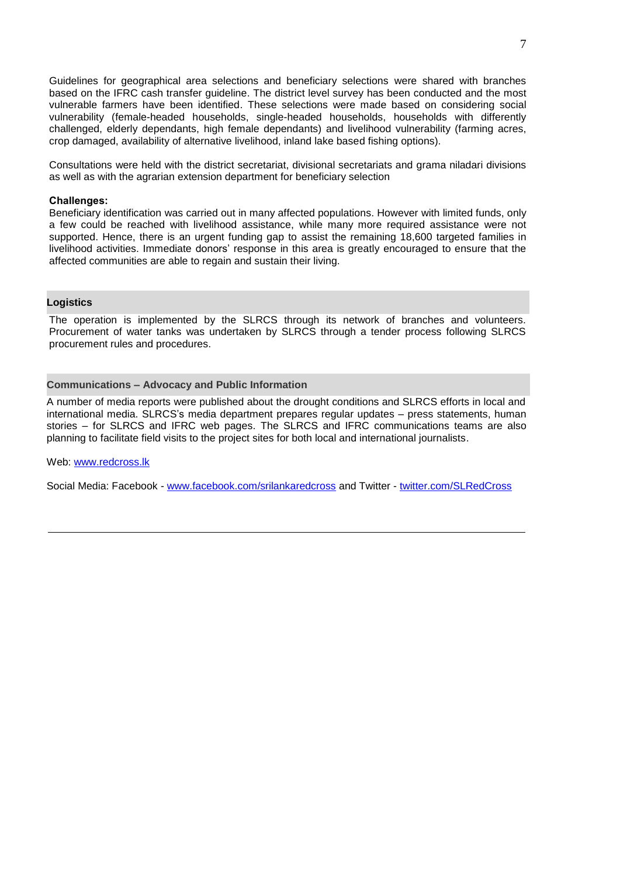Guidelines for geographical area selections and beneficiary selections were shared with branches based on the IFRC cash transfer guideline. The district level survey has been conducted and the most vulnerable farmers have been identified. These selections were made based on considering social vulnerability (female-headed households, single-headed households, households with differently challenged, elderly dependants, high female dependants) and livelihood vulnerability (farming acres, crop damaged, availability of alternative livelihood, inland lake based fishing options).

Consultations were held with the district secretariat, divisional secretariats and grama niladari divisions as well as with the agrarian extension department for beneficiary selection

#### **Challenges:**

Beneficiary identification was carried out in many affected populations. However with limited funds, only a few could be reached with livelihood assistance, while many more required assistance were not supported. Hence, there is an urgent funding gap to assist the remaining 18,600 targeted families in livelihood activities. Immediate donors' response in this area is greatly encouraged to ensure that the affected communities are able to regain and sustain their living.

#### **Logistics**

The operation is implemented by the SLRCS through its network of branches and volunteers. Procurement of water tanks was undertaken by SLRCS through a tender process following SLRCS procurement rules and procedures.

#### **Communications – Advocacy and Public Information**

A number of media reports were published about the drought conditions and SLRCS efforts in local and international media. SLRCS's media department prepares regular updates – press statements, human stories – for SLRCS and IFRC web pages. The SLRCS and IFRC communications teams are also planning to facilitate field visits to the project sites for both local and international journalists.

#### Web: [www.redcross.lk](http://www.redcross.lk/)

Social Media: Facebook - [www.facebook.com/srilankaredcross](http://www.facebook.com/srilankaredcross) and Twitter - [twitter.com/SLRedCross](https://twitter.com/SLRedCross)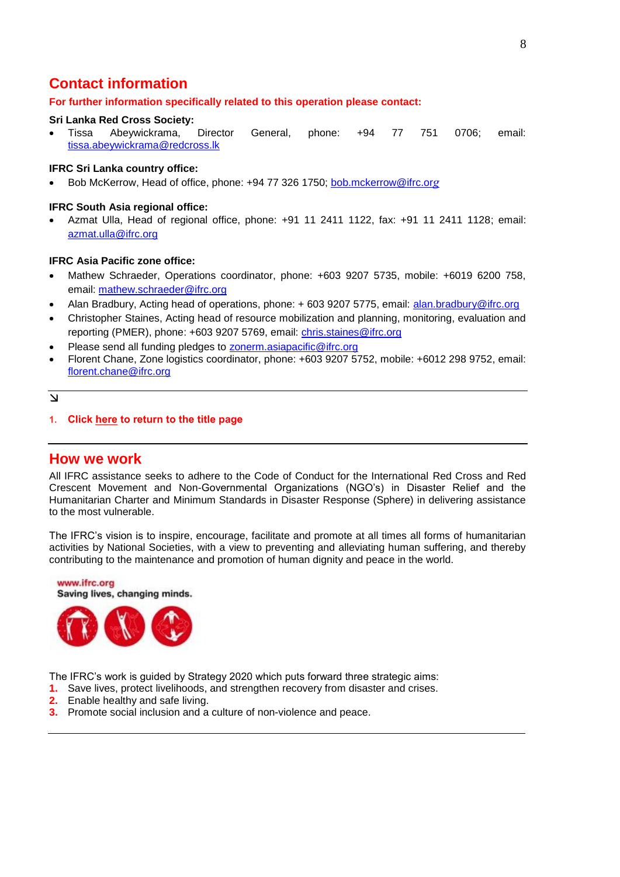## <span id="page-7-0"></span>**Contact information**

#### **For further information specifically related to this operation please contact:**

#### **Sri Lanka Red Cross Society:**

 Tissa Abeywickrama, Director General, phone: +94 77 751 0706; email: [tissa.abeywickrama@redcross.lk](mailto:tissa.abeywickrama@redcross.lk)

#### **IFRC Sri Lanka country office:**

Bob McKerrow, Head of office, phone: +94 77 326 1750; [bob.mckerrow@ifrc.or](mailto:bob.mckerrow@ifrc.org)*g* 

#### **IFRC South Asia regional office:**

 Azmat Ulla, Head of regional office, phone: +91 11 2411 1122, fax: +91 11 2411 1128; email: [azmat.ulla@ifrc.org](mailto:azmat.ulla@ifrc.org)

#### **IFRC Asia Pacific zone office:**

- Mathew Schraeder, Operations coordinator, phone: +603 9207 5735, mobile: +6019 6200 758, email: [mathew.schraeder@ifrc.org](mailto:mathew.schraeder@ifrc.org)
- Alan Bradbury, Acting head of operations, phone: + 603 9207 5775, email: [alan.bradbury@ifrc.org](mailto:alan.bradbury@ifrc.org)
- Christopher Staines, Acting head of resource mobilization and planning, monitoring, evaluation and reporting (PMER), phone: +603 9207 5769, email: [chris.staines@ifrc.org](mailto:chris.staines@ifrc.org)
- Please send all funding pledges to **zonerm.asiapacific@ifrc.org**
- Florent Chane, Zone logistics coordinator, phone: +603 9207 5752, mobile: +6012 298 9752, email: [florent.chane@ifrc.org](mailto:florent.chane@ifrc.org)

#### $\overline{\mathsf{v}}$

**1. Click here [to return to the title page](#page-0-0)**

#### **How we work**

All IFRC assistance seeks to adhere to the Code of Conduct for the International Red Cross and Red Crescent Movement and Non-Governmental Organizations (NGO's) in Disaster Relief and the Humanitarian Charter and Minimum Standards in Disaster Response (Sphere) in delivering assistance to the most vulnerable.

The IFRC's vision is to inspire, encourage, facilitate and promote at all times all forms of humanitarian activities by National Societies, with a view to preventing and alleviating human suffering, and thereby contributing to the maintenance and promotion of human dignity and peace in the world.



The IFRC's work is guided by Strategy 2020 which puts forward three strategic aims:

- **1.** Save lives, protect livelihoods, and strengthen recovery from disaster and crises.
- **2.** Enable healthy and safe living.
- **3.** Promote social inclusion and a culture of non-violence and peace.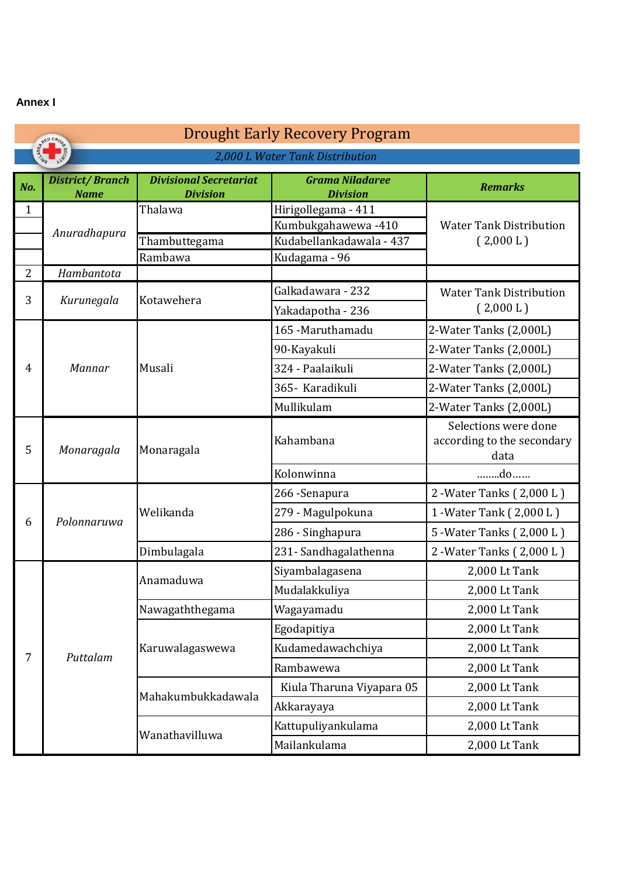### <span id="page-8-0"></span>**Annex I**

|                | <b>Drought Early Recovery Program</b><br>RED CROS  |                                                  |                                           |                                                            |  |
|----------------|----------------------------------------------------|--------------------------------------------------|-------------------------------------------|------------------------------------------------------------|--|
|                | <b>AND 1999</b><br>2,000 L Water Tank Distribution |                                                  |                                           |                                                            |  |
| No.            | <b>District/Branch</b><br><b>Name</b>              | <b>Divisional Secretariat</b><br><b>Division</b> | <b>Grama Niladaree</b><br><b>Division</b> | <b>Remarks</b>                                             |  |
| $\mathbf 1$    | Anuradhapura                                       | Thalawa                                          | Hirigollegama - 411<br>Kumbukgahawewa-410 | <b>Water Tank Distribution</b>                             |  |
|                |                                                    | Thambuttegama                                    | Kudabellankadawala - 437                  | (2,000 L)                                                  |  |
| $\overline{2}$ | Hambantota                                         | Rambawa                                          | Kudagama - 96                             |                                                            |  |
| 3              | Kurunegala                                         | Kotawehera                                       | Galkadawara - 232                         | <b>Water Tank Distribution</b>                             |  |
|                |                                                    |                                                  | Yakadapotha - 236                         | (2,000 L)                                                  |  |
|                |                                                    |                                                  | 165 - Maruthamadu                         | 2-Water Tanks (2,000L)                                     |  |
|                |                                                    |                                                  | 90-Kayakuli                               | 2-Water Tanks (2,000L)                                     |  |
| $\overline{4}$ | Mannar                                             | Musali                                           | 324 - Paalaikuli                          | 2-Water Tanks (2,000L)                                     |  |
|                |                                                    |                                                  | 365- Karadikuli                           | 2-Water Tanks (2,000L)                                     |  |
|                |                                                    |                                                  | Mullikulam                                | 2-Water Tanks (2,000L)                                     |  |
| 5              | Monaragala                                         | Monaragala                                       | Kahambana                                 | Selections were done<br>according to the secondary<br>data |  |
|                |                                                    |                                                  | Kolonwinna                                | do                                                         |  |
|                |                                                    | Welikanda                                        | 266 - Senapura                            | 2 - Water Tanks (2,000 L)                                  |  |
|                |                                                    |                                                  | 279 - Magulpokuna                         | 1 - Water Tank (2,000 L)                                   |  |
| 6              | Polonnaruwa                                        |                                                  | 286 - Singhapura                          | 5 - Water Tanks (2,000 L)                                  |  |
|                |                                                    | Dimbulagala                                      | 231- Sandhagalathenna                     | 2 - Water Tanks (2,000 L)                                  |  |
|                |                                                    | Anamaduwa                                        | Siyambalagasena                           | 2,000 Lt Tank                                              |  |
|                |                                                    |                                                  | Mudalakkuliya                             | 2,000 Lt Tank                                              |  |
|                |                                                    | Nawagaththegama                                  | Wagayamadu                                | 2,000 Lt Tank                                              |  |
|                |                                                    |                                                  | Egodapitiya                               | 2,000 Lt Tank                                              |  |
| 7              |                                                    | Karuwalagaswewa                                  | Kudamedawachchiya                         | 2,000 Lt Tank                                              |  |
|                | Puttalam                                           |                                                  | Rambawewa                                 | 2,000 Lt Tank                                              |  |
|                |                                                    |                                                  | Kiula Tharuna Viyapara 05                 | 2,000 Lt Tank                                              |  |
|                |                                                    | Mahakumbukkadawala                               | Akkarayaya                                | 2,000 Lt Tank                                              |  |
|                |                                                    | Wanathavilluwa                                   | Kattupuliyankulama                        | 2,000 Lt Tank                                              |  |
|                |                                                    |                                                  | Mailankulama                              | 2,000 Lt Tank                                              |  |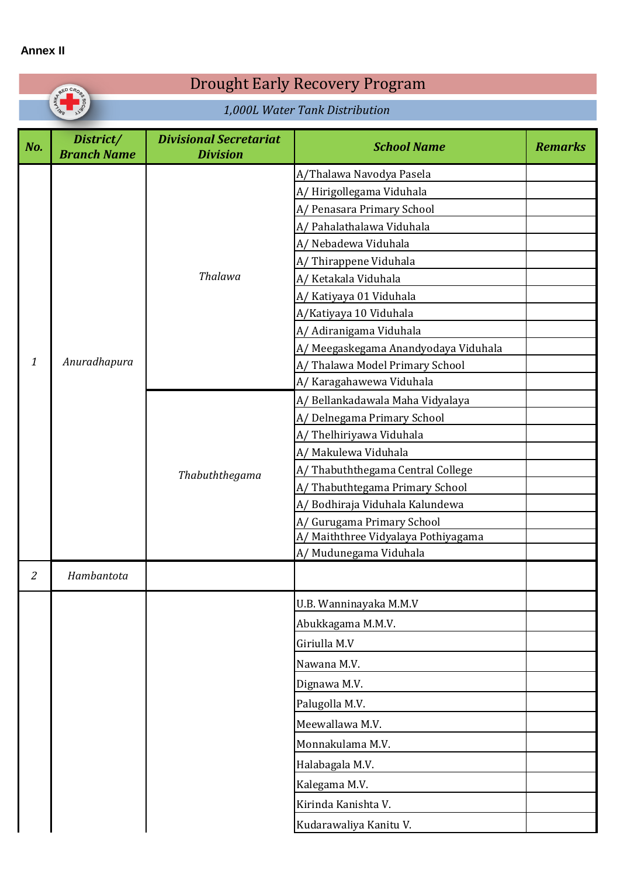### **Annex II**

| RED CROS                        |                                                  |                                                                                                                                                                                                                                                                                                                                                              |                                                  |
|---------------------------------|--------------------------------------------------|--------------------------------------------------------------------------------------------------------------------------------------------------------------------------------------------------------------------------------------------------------------------------------------------------------------------------------------------------------------|--------------------------------------------------|
| 1,000L Water Tank Distribution  |                                                  |                                                                                                                                                                                                                                                                                                                                                              |                                                  |
| District/<br><b>Branch Name</b> | <b>Divisional Secretariat</b><br><b>Division</b> | <b>School Name</b>                                                                                                                                                                                                                                                                                                                                           | <b>Remarks</b>                                   |
|                                 | Thalawa                                          | A/Thalawa Navodya Pasela<br>A/Hirigollegama Viduhala<br>A/ Penasara Primary School<br>A/ Pahalathalawa Viduhala<br>A/ Nebadewa Viduhala<br>A/Thirappene Viduhala<br>A/ Ketakala Viduhala<br>A/ Katiyaya 01 Viduhala<br>A/Katiyaya 10 Viduhala<br>A/ Adiranigama Viduhala<br>A/ Meegaskegama Anandyodaya Viduhala                                             |                                                  |
|                                 | Thabuththegama                                   | A/Thalawa Model Primary School<br>A/ Karagahawewa Viduhala<br>A/Bellankadawala Maha Vidyalaya<br>A/ Delnegama Primary School<br>A/Thelhiriyawa Viduhala<br>A/ Makulewa Viduhala<br>A/Thabuththegama Central College<br>A/Thabuthtegama Primary School<br>A/Bodhiraja Viduhala Kalundewa<br>A/ Gurugama Primary School<br>A/ Maiththree Vidyalaya Pothiyagama |                                                  |
| Hambantota                      |                                                  |                                                                                                                                                                                                                                                                                                                                                              |                                                  |
|                                 |                                                  | U.B. Wanninayaka M.M.V<br>Abukkagama M.M.V.<br>Giriulla M.V<br>Nawana M.V.<br>Dignawa M.V.<br>Palugolla M.V.<br>Meewallawa M.V.<br>Monnakulama M.V.<br>Halabagala M.V.<br>Kalegama M.V.<br>Kirinda Kanishta V.                                                                                                                                               |                                                  |
|                                 | Anuradhapura                                     |                                                                                                                                                                                                                                                                                                                                                              | A/ Mudunegama Viduhala<br>Kudarawaliya Kanitu V. |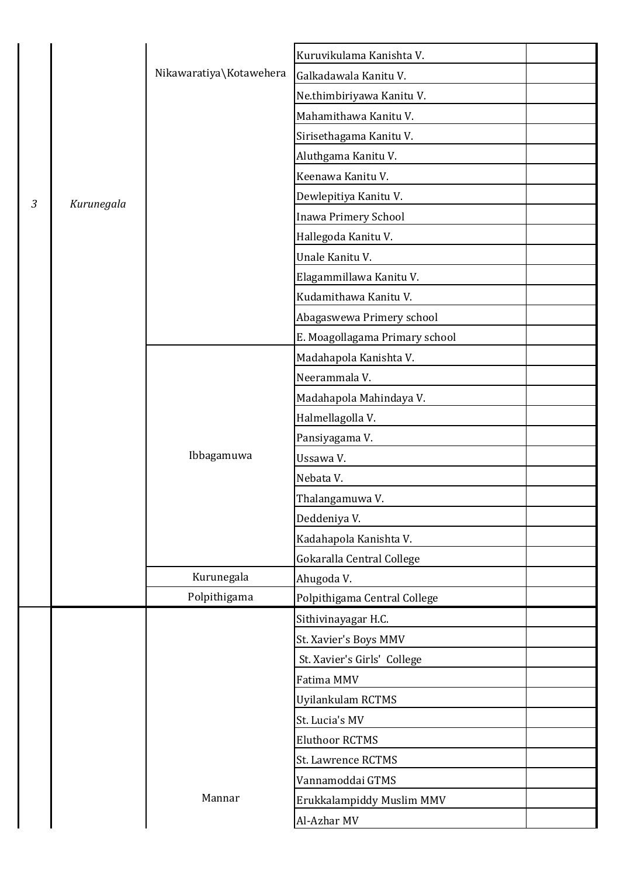|                |            |                         | Kuruvikulama Kanishta V.       |  |
|----------------|------------|-------------------------|--------------------------------|--|
|                |            | Nikawaratiya\Kotawehera | Galkadawala Kanitu V.          |  |
|                |            |                         | Ne.thimbiriyawa Kanitu V.      |  |
|                |            |                         | Mahamithawa Kanitu V.          |  |
|                |            |                         | Sirisethagama Kanitu V.        |  |
|                |            |                         | Aluthgama Kanitu V.            |  |
|                |            |                         | Keenawa Kanitu V.              |  |
| $\mathfrak{Z}$ | Kurunegala |                         | Dewlepitiya Kanitu V.          |  |
|                |            |                         | Inawa Primery School           |  |
|                |            |                         | Hallegoda Kanitu V.            |  |
|                |            |                         | Unale Kanitu V.                |  |
|                |            |                         | Elagammillawa Kanitu V.        |  |
|                |            |                         | Kudamithawa Kanitu V.          |  |
|                |            |                         | Abagaswewa Primery school      |  |
|                |            |                         | E. Moagollagama Primary school |  |
|                |            |                         | Madahapola Kanishta V.         |  |
|                |            |                         | Neerammala V.                  |  |
|                |            |                         | Madahapola Mahindaya V.        |  |
|                |            |                         | Halmellagolla V.               |  |
|                |            |                         | Pansiyagama V.                 |  |
|                |            | Ibbagamuwa              | Ussawa V.                      |  |
|                |            |                         | Nebata V.                      |  |
|                |            |                         | Thalangamuwa V.                |  |
|                |            |                         | Deddeniya V.                   |  |
|                |            |                         | Kadahapola Kanishta V.         |  |
|                |            |                         | Gokaralla Central College      |  |
|                |            | Kurunegala              | Ahugoda V.                     |  |
|                |            | Polpithigama            | Polpithigama Central College   |  |
|                |            |                         | Sithivinayagar H.C.            |  |
|                |            |                         | St. Xavier's Boys MMV          |  |
|                |            |                         | St. Xavier's Girls' College    |  |
|                |            |                         | Fatima MMV                     |  |
|                |            |                         | Uyilankulam RCTMS              |  |
|                |            |                         | St. Lucia's MV                 |  |
|                |            |                         | <b>Eluthoor RCTMS</b>          |  |
|                |            |                         | St. Lawrence RCTMS             |  |
|                |            |                         | Vannamoddai GTMS               |  |
|                |            | Mannar                  | Erukkalampiddy Muslim MMV      |  |
|                |            |                         | Al-Azhar MV                    |  |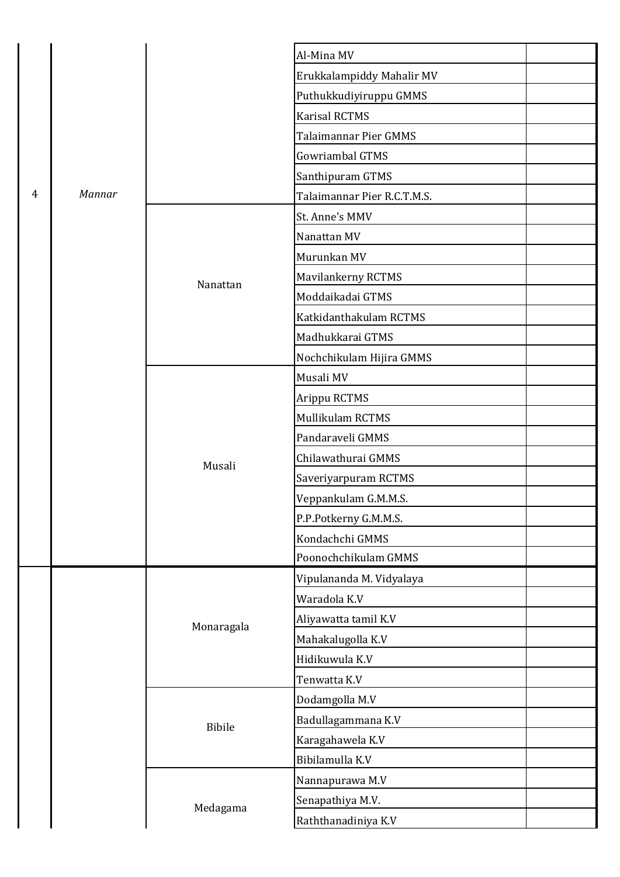|   |        |               | Al-Mina MV                  |  |
|---|--------|---------------|-----------------------------|--|
|   |        |               | Erukkalampiddy Mahalir MV   |  |
|   |        |               | Puthukkudiyiruppu GMMS      |  |
|   |        |               | <b>Karisal RCTMS</b>        |  |
|   |        |               | Talaimannar Pier GMMS       |  |
|   |        |               | Gowriambal GTMS             |  |
|   |        |               | Santhipuram GTMS            |  |
| 4 | Mannar |               | Talaimannar Pier R.C.T.M.S. |  |
|   |        |               | St. Anne's MMV              |  |
|   |        |               | Nanattan MV                 |  |
|   |        |               | Murunkan MV                 |  |
|   |        | Nanattan      | Mavilankerny RCTMS          |  |
|   |        |               | Moddaikadai GTMS            |  |
|   |        |               | Katkidanthakulam RCTMS      |  |
|   |        |               | Madhukkarai GTMS            |  |
|   |        |               | Nochchikulam Hijira GMMS    |  |
|   |        | Musali        | Musali MV                   |  |
|   |        |               | Arippu RCTMS                |  |
|   |        |               | Mullikulam RCTMS            |  |
|   |        |               | Pandaraveli GMMS            |  |
|   |        |               | Chilawathurai GMMS          |  |
|   |        |               | Saveriyarpuram RCTMS        |  |
|   |        |               | Veppankulam G.M.M.S.        |  |
|   |        |               | P.P.Potkerny G.M.M.S.       |  |
|   |        |               | Kondachchi GMMS             |  |
|   |        |               | Poonochchikulam GMMS        |  |
|   |        |               | Vipulananda M. Vidyalaya    |  |
|   |        | Monaragala    | Waradola K.V                |  |
|   |        |               | Aliyawatta tamil K.V        |  |
|   |        |               | Mahakalugolla K.V           |  |
|   |        |               | Hidikuwula K.V              |  |
|   |        |               | Tenwatta K.V                |  |
|   |        |               | Dodamgolla M.V              |  |
|   |        | <b>Bibile</b> | Badullagammana K.V          |  |
|   |        | Medagama      | Karagahawela K.V            |  |
|   |        |               | Bibilamulla K.V             |  |
|   |        |               | Nannapurawa M.V             |  |
|   |        |               | Senapathiya M.V.            |  |
|   |        |               | Raththanadiniya K.V         |  |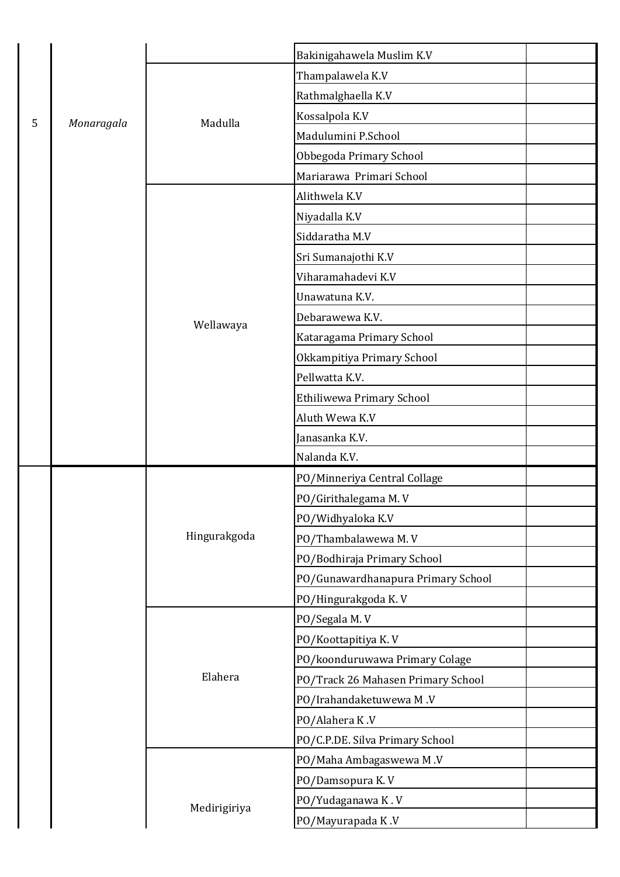|   |            |              | Bakinigahawela Muslim K.V          |  |
|---|------------|--------------|------------------------------------|--|
|   |            |              | Thampalawela K.V                   |  |
|   |            |              | Rathmalghaella K.V                 |  |
| 5 | Monaragala | Madulla      | Kossalpola K.V                     |  |
|   |            |              | Madulumini P.School                |  |
|   |            |              | Obbegoda Primary School            |  |
|   |            |              | Mariarawa Primari School           |  |
|   |            |              | Alithwela K.V                      |  |
|   |            |              | Niyadalla K.V                      |  |
|   |            |              | Siddaratha M.V                     |  |
|   |            |              | Sri Sumanajothi K.V                |  |
|   |            |              | Viharamahadevi K.V                 |  |
|   |            |              | Unawatuna K.V.                     |  |
|   |            | Wellawaya    | Debarawewa K.V.                    |  |
|   |            |              | Kataragama Primary School          |  |
|   |            |              | Okkampitiya Primary School         |  |
|   |            |              | Pellwatta K.V.                     |  |
|   |            |              | Ethiliwewa Primary School          |  |
|   |            |              | Aluth Wewa K.V                     |  |
|   |            |              | Janasanka K.V.                     |  |
|   |            |              | Nalanda K.V.                       |  |
|   |            |              | PO/Minneriya Central Collage       |  |
|   |            |              | PO/Girithalegama M.V               |  |
|   |            |              | PO/Widhyaloka K.V                  |  |
|   |            | Hingurakgoda | PO/Thambalawewa M.V                |  |
|   |            |              | PO/Bodhiraja Primary School        |  |
|   |            |              | PO/Gunawardhanapura Primary School |  |
|   |            |              | PO/Hingurakgoda K.V                |  |
|   |            |              | PO/Segala M.V                      |  |
|   |            |              | PO/Koottapitiya K.V                |  |
|   |            |              | PO/koonduruwawa Primary Colage     |  |
|   |            | Elahera      | PO/Track 26 Mahasen Primary School |  |
|   |            |              | PO/Irahandaketuwewa M.V            |  |
|   |            |              | PO/Alahera K.V                     |  |
|   |            |              | PO/C.P.DE. Silva Primary School    |  |
|   |            |              | PO/Maha Ambagaswewa M.V            |  |
|   |            | Medirigiriya | PO/Damsopura K.V                   |  |
|   |            |              | PO/Yudaganawa K.V                  |  |
|   |            |              | PO/Mayurapada K.V                  |  |
|   |            |              |                                    |  |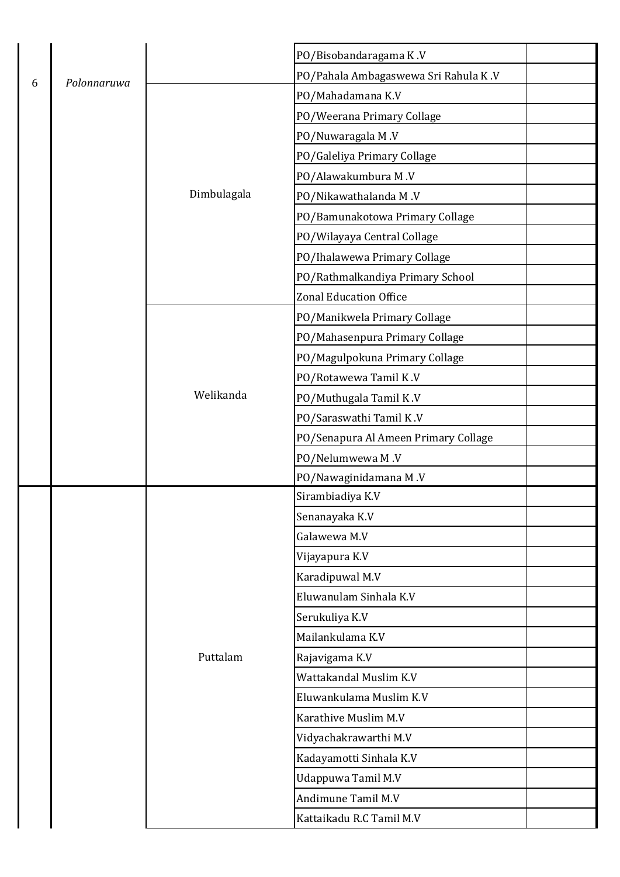|   |             |             | PO/Bisobandaragama K.V               |  |
|---|-------------|-------------|--------------------------------------|--|
| 6 | Polonnaruwa |             | PO/Pahala Ambagaswewa Sri Rahula K.V |  |
|   |             |             | PO/Mahadamana K.V                    |  |
|   |             |             | PO/Weerana Primary Collage           |  |
|   |             |             | PO/Nuwaragala M.V                    |  |
|   |             |             | PO/Galeliya Primary Collage          |  |
|   |             |             | PO/Alawakumbura M.V                  |  |
|   |             | Dimbulagala | PO/Nikawathalanda M.V                |  |
|   |             |             | PO/Bamunakotowa Primary Collage      |  |
|   |             |             | PO/Wilayaya Central Collage          |  |
|   |             |             | PO/Ihalawewa Primary Collage         |  |
|   |             |             | PO/Rathmalkandiya Primary School     |  |
|   |             |             | <b>Zonal Education Office</b>        |  |
|   |             |             | PO/Manikwela Primary Collage         |  |
|   |             |             | PO/Mahasenpura Primary Collage       |  |
|   |             | Welikanda   | PO/Magulpokuna Primary Collage       |  |
|   |             |             | PO/Rotawewa Tamil K.V                |  |
|   |             |             | PO/Muthugala Tamil K.V               |  |
|   |             |             | PO/Saraswathi Tamil K.V              |  |
|   |             |             | PO/Senapura Al Ameen Primary Collage |  |
|   |             |             | PO/Nelumwewa M.V                     |  |
|   |             |             | PO/Nawaginidamana M.V                |  |
|   |             |             | Sirambiadiya K.V                     |  |
|   |             |             | Senanayaka K.V                       |  |
|   |             |             | Galawewa M.V                         |  |
|   |             |             | Vijayapura K.V                       |  |
|   |             |             | Karadipuwal M.V                      |  |
|   |             |             | Eluwanulam Sinhala K.V               |  |
|   |             |             | Serukuliya K.V                       |  |
|   |             |             | Mailankulama K.V                     |  |
|   |             | Puttalam    | Rajavigama K.V                       |  |
|   |             |             | Wattakandal Muslim K.V               |  |
|   |             |             | Eluwankulama Muslim K.V              |  |
|   |             |             | Karathive Muslim M.V                 |  |
|   |             |             | Vidyachakrawarthi M.V                |  |
|   |             |             | Kadayamotti Sinhala K.V              |  |
|   |             |             | Udappuwa Tamil M.V                   |  |
|   |             |             | Andimune Tamil M.V                   |  |
|   |             |             | Kattaikadu R.C Tamil M.V             |  |
|   |             |             |                                      |  |